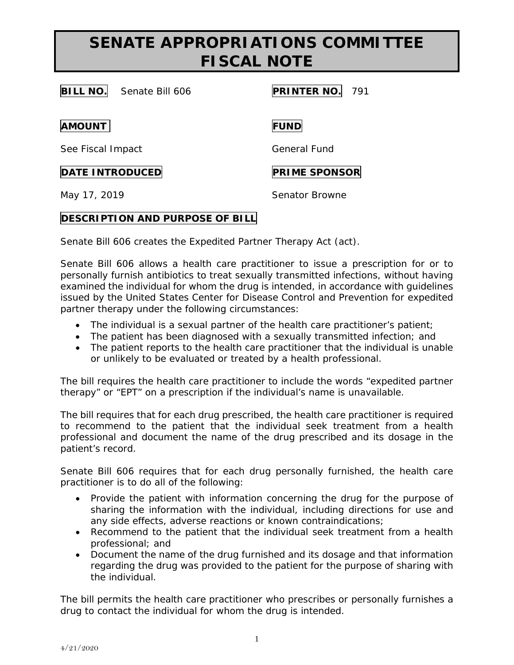## **SENATE APPROPRIATIONS COMMITTEE FISCAL NOTE**

**BILL NO.** Senate Bill 606 **PRINTER NO.** 791

**AMOUNT FUND**

See Fiscal Impact General Fund

**DATE INTRODUCED PRIME SPONSOR** 

May 17, 2019 **Senator Browne** 

## **DESCRIPTION AND PURPOSE OF BILL**

Senate Bill 606 creates the Expedited Partner Therapy Act (act).

Senate Bill 606 allows a health care practitioner to issue a prescription for or to personally furnish antibiotics to treat sexually transmitted infections, without having examined the individual for whom the drug is intended, in accordance with guidelines issued by the United States Center for Disease Control and Prevention for expedited partner therapy under the following circumstances:

- The individual is a sexual partner of the health care practitioner's patient;
- The patient has been diagnosed with a sexually transmitted infection; and
- The patient reports to the health care practitioner that the individual is unable or unlikely to be evaluated or treated by a health professional.

The bill requires the health care practitioner to include the words "expedited partner therapy" or "EPT" on a prescription if the individual's name is unavailable.

The bill requires that for each drug prescribed, the health care practitioner is required to recommend to the patient that the individual seek treatment from a health professional and document the name of the drug prescribed and its dosage in the patient's record.

Senate Bill 606 requires that for each drug personally furnished, the health care practitioner is to do all of the following:

- Provide the patient with information concerning the drug for the purpose of sharing the information with the individual, including directions for use and any side effects, adverse reactions or known contraindications;
- Recommend to the patient that the individual seek treatment from a health professional; and
- Document the name of the drug furnished and its dosage and that information regarding the drug was provided to the patient for the purpose of sharing with the individual.

The bill permits the health care practitioner who prescribes or personally furnishes a drug to contact the individual for whom the drug is intended.